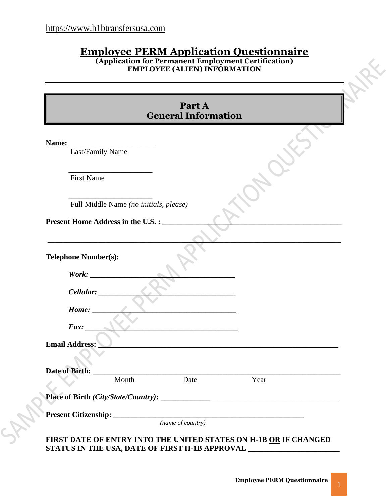# **Employee PERM Application Questionnaire**

**(Application for Permanent Employment Certification) EMPLOYEE (ALIEN) INFORMATION**

<span id="page-0-0"></span>

| Name:<br>Last/Family Name   |                                        |      |      |
|-----------------------------|----------------------------------------|------|------|
| <b>First Name</b>           |                                        |      |      |
|                             | Full Middle Name (no initials, please) |      |      |
|                             | Present Home Address in the U.S. :     |      |      |
|                             |                                        |      |      |
| <b>Telephone Number(s):</b> |                                        |      |      |
| Work:                       |                                        |      |      |
| Cellular:                   |                                        |      |      |
| Home:                       |                                        |      |      |
| $\textit{Fax}:$             |                                        |      |      |
|                             |                                        |      |      |
| <b>Email Address:</b>       |                                        |      |      |
| <b>Date of Birth:</b>       |                                        |      |      |
|                             | Month                                  | Date | Year |
|                             |                                        |      |      |

**FIRST DATE OF ENTRY INTO THE UNITED STATES ON H-1B OR IF CHANGED STATUS IN THE USA, DATE OF FIRST H-1B APPROVAL \_\_\_\_\_\_\_\_\_\_\_\_\_\_\_\_\_\_\_\_\_\_\_\_\_\_\_\_\_\_\_\_\_** 

AAF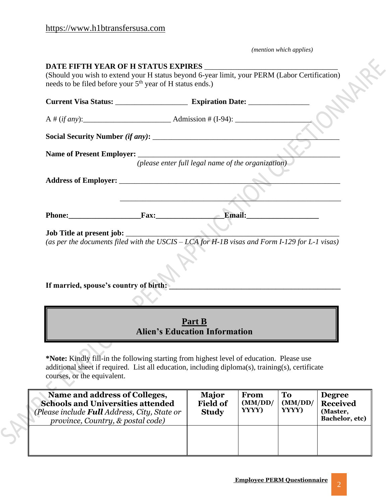$\mathcal{L}_{\infty}$ 

*(mention which applies)*

X

| <b>DATE FIFTH YEAR OF H STATUS EXPIRES</b>                            |                                                                                               |
|-----------------------------------------------------------------------|-----------------------------------------------------------------------------------------------|
| needs to be filed before your 5 <sup>th</sup> year of H status ends.) | (Should you wish to extend your H status beyond 6-year limit, your PERM (Labor Certification) |
|                                                                       |                                                                                               |
|                                                                       |                                                                                               |
|                                                                       |                                                                                               |
|                                                                       |                                                                                               |
|                                                                       | (please enter full legal name of the organization)                                            |
|                                                                       |                                                                                               |
|                                                                       |                                                                                               |
| Phone: Fax: Fax:                                                      | $\angle$ Email:                                                                               |
| Job Title at present job: _____________                               | (as per the documents filed with the USCIS – LCA for H-1B visas and Form I-129 for L-1 visas) |
|                                                                       |                                                                                               |
| If married, spouse's country of birth:                                |                                                                                               |
|                                                                       |                                                                                               |
|                                                                       | Part B<br><b>Alien's Education Information</b>                                                |

**\*Note:** Kindly fill-in the following starting from highest level of education. Please use additional sheet if required. List all education, including diploma(s), training(s), certificate courses, or the equivalent.

| Name and address of Colleges,<br><b>Schools and Universities attended</b><br>(Please include <b>Full</b> Address, City, State or<br>province, Country, & postal code) | Major<br><b>Field of</b><br><b>Study</b> | From<br>(MM/DD/<br>YYYY) | To<br>(MM)DD/<br>YYYY) | <b>Degree</b><br><b>Received</b><br>(Master,<br>Bachelor, etc) |
|-----------------------------------------------------------------------------------------------------------------------------------------------------------------------|------------------------------------------|--------------------------|------------------------|----------------------------------------------------------------|
|                                                                                                                                                                       |                                          |                          |                        |                                                                |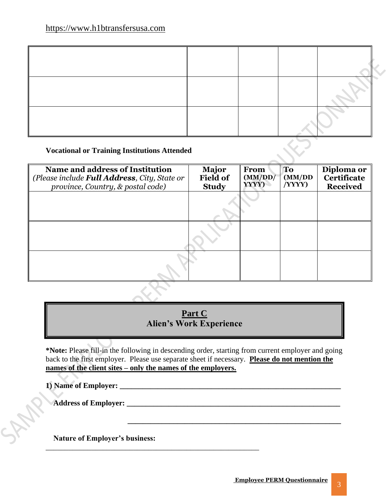#### **Vocational or Training Institutions Attended**

| Name and address of Institution<br>(Please include <b>Full Address</b> , City, State or<br>province, Country, & postal code) | <b>Major</b><br><b>Field of</b><br><b>Study</b> | From<br>(MM/DD)<br>YYYY) | <b>To</b><br>(MM)DD<br>(YYYY) | Diploma or<br><b>Certificate</b><br><b>Received</b> |
|------------------------------------------------------------------------------------------------------------------------------|-------------------------------------------------|--------------------------|-------------------------------|-----------------------------------------------------|
|                                                                                                                              |                                                 |                          |                               |                                                     |
|                                                                                                                              |                                                 |                          |                               |                                                     |
|                                                                                                                              |                                                 |                          |                               |                                                     |

#### **Part C Alien's Work Experience**

**\*Note:** Please fill-in the following in descending order, starting from current employer and going back to the first employer. Please use separate sheet if necessary. **Please do not mention the names of the client sites – only the names of the employers.**

 **\_\_\_\_\_\_\_\_\_\_\_\_\_\_\_\_\_\_\_\_\_\_\_\_\_\_\_\_\_\_\_\_\_\_\_\_\_\_\_\_\_\_\_\_\_\_\_\_\_\_\_\_\_\_\_\_**

**1) Name of Employer: \_\_\_\_\_\_\_\_\_\_\_\_\_\_\_\_\_\_\_\_\_\_\_\_\_\_\_\_\_\_\_\_\_\_\_\_\_\_\_\_\_\_\_\_\_\_\_\_\_\_\_\_\_\_\_\_\_\_**

Address of Employer:

 **Nature of Employer's business:** 

\_\_\_\_\_\_\_\_\_\_\_\_\_\_\_\_\_\_\_\_\_\_\_\_\_\_\_\_\_\_\_\_\_\_\_\_\_\_\_\_\_\_\_\_\_\_\_\_\_\_\_\_\_\_\_\_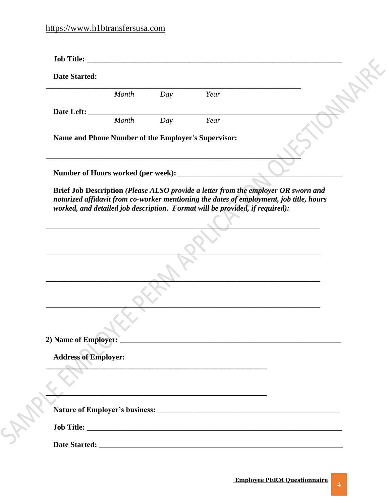| <b>Date Started:</b>                                |                                                                                                                                                                                                                               |     |                                                                                                                  |                                                                                                                                                                               |  |
|-----------------------------------------------------|-------------------------------------------------------------------------------------------------------------------------------------------------------------------------------------------------------------------------------|-----|------------------------------------------------------------------------------------------------------------------|-------------------------------------------------------------------------------------------------------------------------------------------------------------------------------|--|
|                                                     | Month                                                                                                                                                                                                                         | Day | Year                                                                                                             |                                                                                                                                                                               |  |
| Date Left:                                          |                                                                                                                                                                                                                               |     |                                                                                                                  |                                                                                                                                                                               |  |
|                                                     | Month                                                                                                                                                                                                                         | Day | Year                                                                                                             |                                                                                                                                                                               |  |
| Name and Phone Number of the Employer's Supervisor: |                                                                                                                                                                                                                               |     |                                                                                                                  |                                                                                                                                                                               |  |
|                                                     | the control of the control of the control of the control of the control of the control of the control of the control of the control of the control of the control of the control of the control of the control of the control |     |                                                                                                                  |                                                                                                                                                                               |  |
| Number of Hours worked (per week): __________       |                                                                                                                                                                                                                               |     |                                                                                                                  |                                                                                                                                                                               |  |
|                                                     |                                                                                                                                                                                                                               |     | worked, and detailed job description. Format will be provided, if required):                                     | Brief Job Description (Please ALSO provide a letter from the employer OR sworn and<br>notarized affidavit from co-worker mentioning the dates of employment, job title, hours |  |
|                                                     |                                                                                                                                                                                                                               |     |                                                                                                                  |                                                                                                                                                                               |  |
|                                                     |                                                                                                                                                                                                                               |     |                                                                                                                  |                                                                                                                                                                               |  |
|                                                     |                                                                                                                                                                                                                               |     |                                                                                                                  |                                                                                                                                                                               |  |
|                                                     |                                                                                                                                                                                                                               |     |                                                                                                                  |                                                                                                                                                                               |  |
|                                                     |                                                                                                                                                                                                                               |     |                                                                                                                  |                                                                                                                                                                               |  |
|                                                     |                                                                                                                                                                                                                               |     |                                                                                                                  |                                                                                                                                                                               |  |
|                                                     |                                                                                                                                                                                                                               |     |                                                                                                                  |                                                                                                                                                                               |  |
|                                                     |                                                                                                                                                                                                                               |     |                                                                                                                  |                                                                                                                                                                               |  |
| <b>Address of Employer:</b>                         |                                                                                                                                                                                                                               |     |                                                                                                                  |                                                                                                                                                                               |  |
|                                                     |                                                                                                                                                                                                                               |     | <u> 2000 - Jan Barnett, fransk politik (d. 1982)</u>                                                             |                                                                                                                                                                               |  |
|                                                     |                                                                                                                                                                                                                               |     | and the control of the control of the control of the control of the control of the control of the control of the |                                                                                                                                                                               |  |
|                                                     |                                                                                                                                                                                                                               |     |                                                                                                                  |                                                                                                                                                                               |  |
|                                                     |                                                                                                                                                                                                                               |     |                                                                                                                  |                                                                                                                                                                               |  |
|                                                     |                                                                                                                                                                                                                               |     |                                                                                                                  |                                                                                                                                                                               |  |
|                                                     |                                                                                                                                                                                                                               |     |                                                                                                                  |                                                                                                                                                                               |  |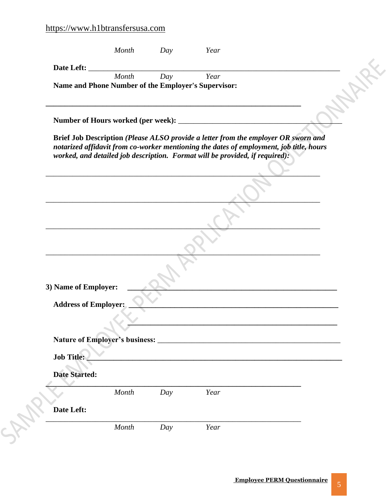|                             | Month |     |                                                                                                                                                                                                                                                               |  |
|-----------------------------|-------|-----|---------------------------------------------------------------------------------------------------------------------------------------------------------------------------------------------------------------------------------------------------------------|--|
| Date Left:                  | Month | Day | Year                                                                                                                                                                                                                                                          |  |
|                             |       |     | Name and Phone Number of the Employer's Supervisor:                                                                                                                                                                                                           |  |
|                             |       |     |                                                                                                                                                                                                                                                               |  |
|                             |       |     | Brief Job Description (Please ALSO provide a letter from the employer OR sworn and<br>notarized affidavit from co-worker mentioning the dates of employment, job title, hours<br>worked, and detailed job description. Format will be provided, if required): |  |
|                             |       |     |                                                                                                                                                                                                                                                               |  |
|                             |       |     |                                                                                                                                                                                                                                                               |  |
|                             |       |     |                                                                                                                                                                                                                                                               |  |
|                             |       |     |                                                                                                                                                                                                                                                               |  |
| 3) Name of Employer:        |       |     |                                                                                                                                                                                                                                                               |  |
| <b>Address of Employer:</b> |       |     |                                                                                                                                                                                                                                                               |  |
|                             |       |     |                                                                                                                                                                                                                                                               |  |
|                             |       |     |                                                                                                                                                                                                                                                               |  |
|                             |       |     |                                                                                                                                                                                                                                                               |  |
|                             |       |     |                                                                                                                                                                                                                                                               |  |
| Job Title:                  |       |     |                                                                                                                                                                                                                                                               |  |
| <b>Date Started:</b>        |       |     |                                                                                                                                                                                                                                                               |  |
|                             | Month | Day | Year                                                                                                                                                                                                                                                          |  |
| Date Left:                  |       |     |                                                                                                                                                                                                                                                               |  |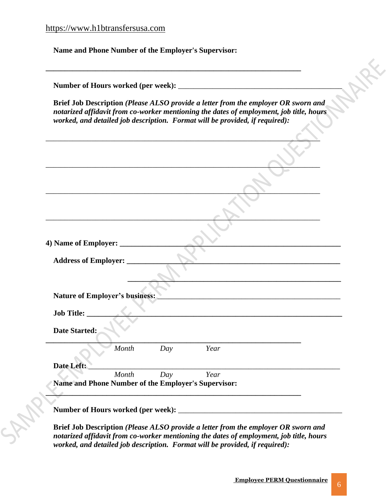**RAR** 

 **Name and Phone Number of the Employer's Supervisor:** 

|                                |       |     |                                                     | Brief Job Description (Please ALSO provide a letter from the employer OR sworn and<br>notarized affidavit from co-worker mentioning the dates of employment, job title, hours<br>worked, and detailed job description. Format will be provided, if required): |  |
|--------------------------------|-------|-----|-----------------------------------------------------|---------------------------------------------------------------------------------------------------------------------------------------------------------------------------------------------------------------------------------------------------------------|--|
|                                |       |     |                                                     |                                                                                                                                                                                                                                                               |  |
|                                |       |     |                                                     |                                                                                                                                                                                                                                                               |  |
|                                |       |     |                                                     |                                                                                                                                                                                                                                                               |  |
|                                |       |     |                                                     |                                                                                                                                                                                                                                                               |  |
|                                |       |     |                                                     |                                                                                                                                                                                                                                                               |  |
| <b>Address of Employer:</b>    |       |     |                                                     | the control of the control of the control of the control of the control of the control of                                                                                                                                                                     |  |
| Nature of Employer's business: |       |     |                                                     | <u> 1989 - Johann John Stone, markin biskup og det blev til store og en store og en som som som en som som som s</u>                                                                                                                                          |  |
| <b>Job Title:</b>              |       |     |                                                     |                                                                                                                                                                                                                                                               |  |
| <b>Date Started:</b>           |       |     |                                                     |                                                                                                                                                                                                                                                               |  |
|                                | Month | Day | Year                                                |                                                                                                                                                                                                                                                               |  |
| Date Left:                     | Month | Day | Year                                                |                                                                                                                                                                                                                                                               |  |
|                                |       |     | Name and Phone Number of the Employer's Supervisor: |                                                                                                                                                                                                                                                               |  |

**Brief Job Description** *(Please ALSO provide a letter from the employer OR sworn and notarized affidavit from co-worker mentioning the dates of employment, job title, hours worked, and detailed job description. Format will be provided, if required):*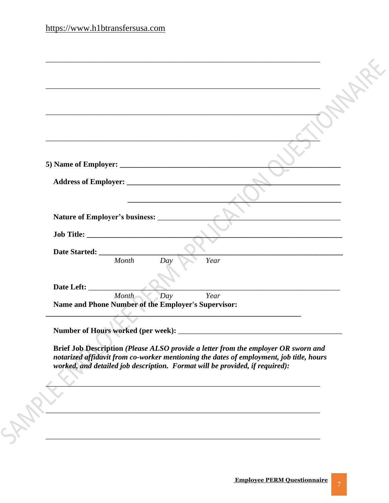|                                                              |                                                   | <u> 1989 - Andrea Santa Andrea Andrea Andrea Andrea Andrea Andrea Andrea Andrea Andrea Andrea Andrea Andrea Andr</u> |  |
|--------------------------------------------------------------|---------------------------------------------------|----------------------------------------------------------------------------------------------------------------------|--|
|                                                              |                                                   |                                                                                                                      |  |
|                                                              |                                                   |                                                                                                                      |  |
|                                                              |                                                   |                                                                                                                      |  |
|                                                              | <u> 1980 - Johann Barbara, martxa alemaniar a</u> |                                                                                                                      |  |
| Nature of Employer's business: ________                      |                                                   |                                                                                                                      |  |
|                                                              |                                                   |                                                                                                                      |  |
|                                                              |                                                   |                                                                                                                      |  |
| Month                                                        | Day                                               | Year                                                                                                                 |  |
|                                                              |                                                   |                                                                                                                      |  |
|                                                              |                                                   |                                                                                                                      |  |
|                                                              | Day                                               | Year                                                                                                                 |  |
| Month<br>Name and Phone Number of the Employer's Supervisor: |                                                   |                                                                                                                      |  |
|                                                              |                                                   |                                                                                                                      |  |

Brief Job Description (Please ALSO provide a letter from the employer OR sworn and notarized affidavit from co-worker mentioning the dates of employment, job title, hours worked, and detailed job description. Format will be provided, if required):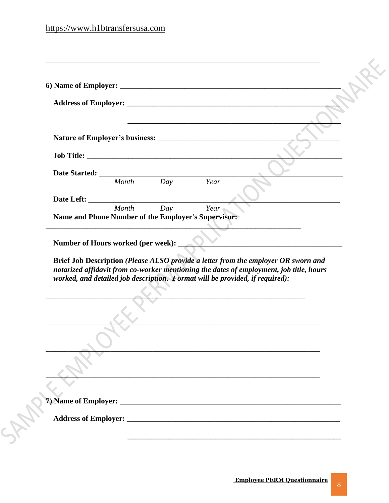|                                                                                                                                                                                                                     | Month<br>Day | Year |  |
|---------------------------------------------------------------------------------------------------------------------------------------------------------------------------------------------------------------------|--------------|------|--|
|                                                                                                                                                                                                                     |              |      |  |
|                                                                                                                                                                                                                     | Day<br>Month | Year |  |
| Name and Phone Number of the Employer's Supervisor:                                                                                                                                                                 |              |      |  |
| Number of Hours worked (per week):<br>Brief Job Description (Please ALSO provide a letter from the employer OR sworn and<br>notarized affidavit from co-worker mentioning the dates of employment, job title, hours |              |      |  |
| worked, and detailed job description. Format will be provided, if required):                                                                                                                                        |              |      |  |
|                                                                                                                                                                                                                     |              |      |  |
|                                                                                                                                                                                                                     |              |      |  |
|                                                                                                                                                                                                                     |              |      |  |
|                                                                                                                                                                                                                     |              |      |  |
|                                                                                                                                                                                                                     |              |      |  |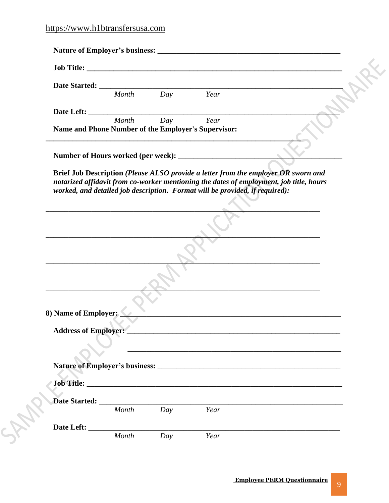|                                                     | Month | Day              | Year                                                                                                                  |                                                                                           |  |
|-----------------------------------------------------|-------|------------------|-----------------------------------------------------------------------------------------------------------------------|-------------------------------------------------------------------------------------------|--|
|                                                     |       |                  |                                                                                                                       |                                                                                           |  |
|                                                     | Month | $\overline{Day}$ | Year                                                                                                                  |                                                                                           |  |
| Name and Phone Number of the Employer's Supervisor: |       |                  |                                                                                                                       |                                                                                           |  |
|                                                     |       |                  |                                                                                                                       |                                                                                           |  |
|                                                     |       |                  |                                                                                                                       |                                                                                           |  |
|                                                     |       |                  |                                                                                                                       |                                                                                           |  |
|                                                     |       |                  |                                                                                                                       | the control of the control of the control of the control of the control of the control of |  |
|                                                     |       |                  |                                                                                                                       |                                                                                           |  |
|                                                     |       |                  |                                                                                                                       | the contract of the contract of the contract of the contract of the contract of           |  |
|                                                     |       |                  |                                                                                                                       |                                                                                           |  |
| 8) Name of Employer:                                |       |                  |                                                                                                                       |                                                                                           |  |
| <b>Address of Employer:</b>                         |       |                  | <u> 1990 - Jan James Sand, Amerikaans en Stadt en de Stadt geheer om de stadt geheer om de stadt geheer om de sta</u> |                                                                                           |  |
|                                                     |       |                  |                                                                                                                       |                                                                                           |  |
|                                                     |       |                  |                                                                                                                       |                                                                                           |  |
|                                                     |       |                  |                                                                                                                       |                                                                                           |  |
|                                                     |       |                  |                                                                                                                       |                                                                                           |  |
|                                                     |       |                  |                                                                                                                       |                                                                                           |  |
|                                                     | Month | Day              | Year                                                                                                                  |                                                                                           |  |
|                                                     |       |                  |                                                                                                                       |                                                                                           |  |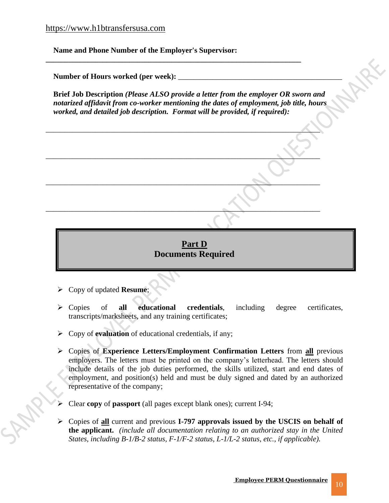**Name and Phone Number of the Employer's Supervisor:** 

Number of Hours worked (per week):

**Brief Job Description** *(Please ALSO provide a letter from the employer OR sworn and notarized affidavit from co-worker mentioning the dates of employment, job title, hours worked, and detailed job description. Format will be provided, if required):*

\_\_\_\_\_\_\_\_\_\_\_\_\_\_\_\_\_\_\_\_\_\_\_\_\_\_\_\_\_\_\_\_\_\_\_\_\_\_\_\_\_\_\_\_\_\_\_\_\_\_\_\_\_\_\_\_\_\_\_\_\_\_\_\_\_\_\_\_\_\_\_\_

 $\blacksquare$  .  $\blacksquare$  .  $\blacksquare$  .  $\blacksquare$ 

\_\_\_\_\_\_\_\_\_\_\_\_\_\_\_\_\_\_\_\_\_\_\_\_\_\_\_\_\_\_\_\_\_\_\_\_\_\_\_\_\_\_\_\_\_\_\_\_\_\_\_\_\_\_\_\_\_\_\_\_\_\_\_\_\_\_\_\_\_\_\_\_

\_\_\_\_\_\_\_\_\_\_\_\_\_\_\_\_\_\_\_\_\_\_\_\_\_\_\_\_\_\_\_\_\_\_\_\_\_\_\_\_\_\_\_\_\_\_\_\_\_\_\_\_\_\_\_\_\_\_\_\_\_\_\_\_\_\_\_\_\_\_\_\_

**\_\_\_\_\_\_\_\_\_\_\_\_\_\_\_\_\_\_\_\_\_\_\_\_\_\_\_\_\_\_\_\_\_\_\_\_\_\_\_\_\_\_\_\_\_\_\_\_\_\_\_\_\_\_\_\_\_\_\_\_\_\_\_\_\_\_\_**



- ➢ Copy of updated **Resume**;
- ➢ Copies of **all educational credentials**, including degree certificates, transcripts/marksheets, and any training certificates;
- ➢ Copy of **evaluation** of educational credentials, if any;
- ➢ Copies of **Experience Letters/Employment Confirmation Letters** from **all** previous employers. The letters must be printed on the company's letterhead. The letters should include details of the job duties performed, the skills utilized, start and end dates of employment, and position(s) held and must be duly signed and dated by an authorized representative of the company;
- ➢ Clear **copy** of **passport** (all pages except blank ones); current I-94;
- ➢ Copies of **all** current and previous **I-797 approvals issued by the USCIS on behalf of the applicant.** *(include all documentation relating to an authorized stay in the United States, including B-1/B-2 status, F-1/F-2 status, L-1/L-2 status, etc., if applicable).*